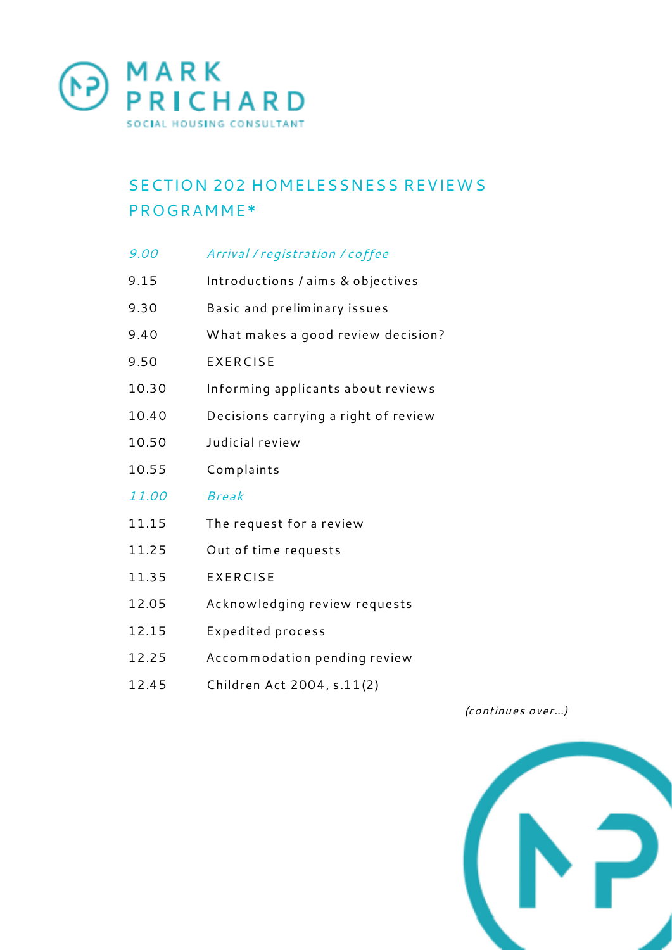

## SECTION 202 HOMELESSNESS REVIEWS PROGRAMME\*

| 9.00  | Arrival / registration / coffee      |
|-------|--------------------------------------|
| 9.15  | Introductions / aims & objectives    |
| 9.30  | Basic and preliminary issues         |
| 9.40  | What makes a good review decision?   |
| 9.50  | <b>EXERCISE</b>                      |
| 10.30 | Informing applicants about reviews   |
| 10.40 | Decisions carrying a right of review |
| 10.50 | Judicial review                      |
| 10.55 | Complaints                           |
| 11.00 | <b>Break</b>                         |
| 11.15 | The request for a review             |
| 11.25 | Out of time requests                 |
| 11.35 | <b>EXERCISE</b>                      |
| 12.05 | Acknowledging review requests        |
| 12.15 | Expedited process                    |
| 12.25 | Accommodation pending review         |
| 12.45 | Children Act 2004, s.11(2)           |

*(continues over...)*

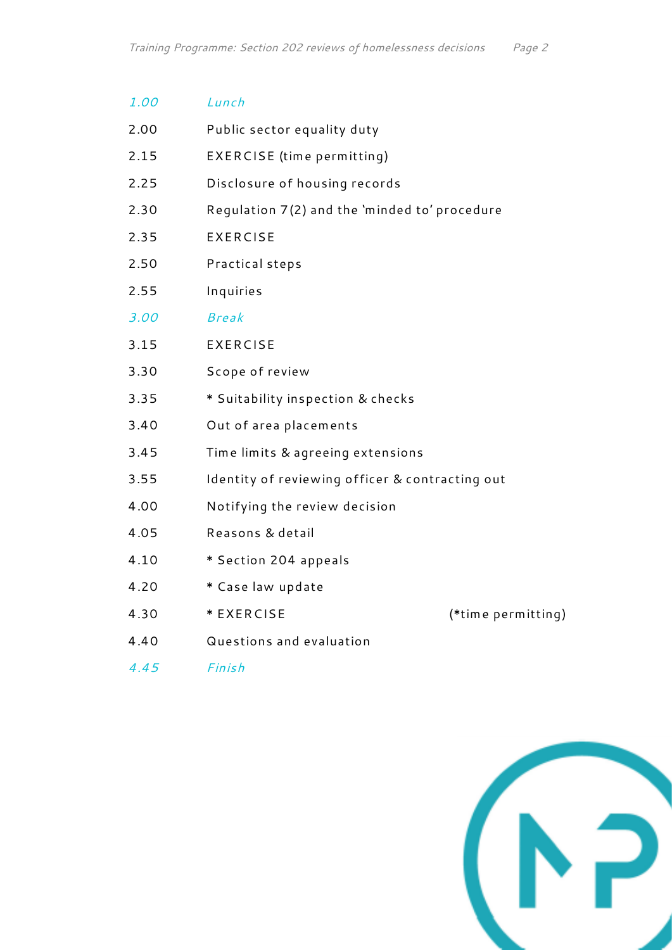| 1.00 | Lunch                                           |                    |  |
|------|-------------------------------------------------|--------------------|--|
| 2.00 | Public sector equality duty                     |                    |  |
| 2.15 | EXERCISE (time permitting)                      |                    |  |
| 2.25 | Disclosure of housing records                   |                    |  |
| 2.30 | Regulation 7(2) and the 'minded to' procedure   |                    |  |
| 2.35 | <b>EXERCISE</b>                                 |                    |  |
| 2.50 | Practical steps                                 |                    |  |
| 2.55 | Inquiries                                       |                    |  |
| 3.00 | <b>Break</b>                                    |                    |  |
| 3.15 | <b>EXERCISE</b>                                 |                    |  |
| 3.30 | Scope of review                                 |                    |  |
| 3.35 | * Suitability inspection & checks               |                    |  |
| 3.40 | Out of area placements                          |                    |  |
| 3.45 | Time limits & agreeing extensions               |                    |  |
| 3.55 | Identity of reviewing officer & contracting out |                    |  |
| 4.00 | Notifying the review decision                   |                    |  |
| 4.05 | Reasons & detail                                |                    |  |
| 4.10 | * Section 204 appeals                           |                    |  |
| 4.20 | * Case law update                               |                    |  |
| 4.30 | * EXERCISE                                      | (*time permitting) |  |
| 4.40 | Questions and evaluation                        |                    |  |
| 4.45 | Finish                                          |                    |  |